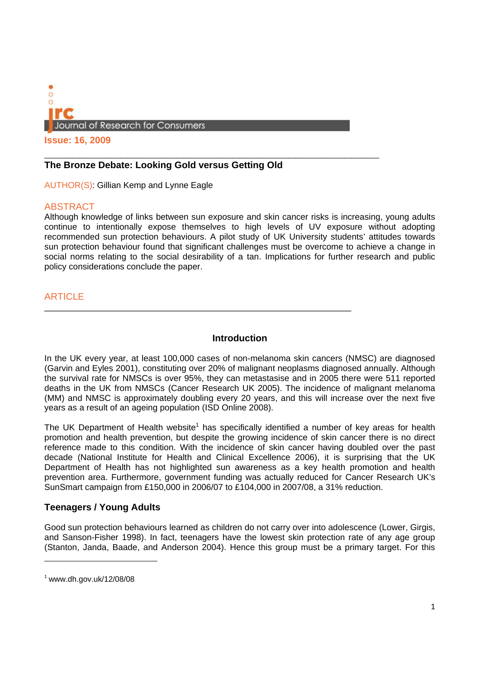

**Issue: 16, 2009**

## **The Bronze Debate: Looking Gold versus Getting Old**

AUTHOR(S): Gillian Kemp and Lynne Eagle

## ABSTRACT

Although knowledge of links between sun exposure and skin cancer risks is increasing, young adults continue to intentionally expose themselves to high levels of UV exposure without adopting recommended sun protection behaviours. A pilot study of UK University students' attitudes towards sun protection behaviour found that significant challenges must be overcome to achieve a change in social norms relating to the social desirability of a tan. Implications for further research and public policy considerations conclude the paper.

# **ARTICLE**

#### **Introduction**

\_\_\_\_\_\_\_\_\_\_\_\_\_\_\_\_\_\_\_\_\_\_\_\_\_\_\_\_\_\_\_\_\_\_\_\_\_\_\_\_\_\_\_\_\_\_\_\_\_\_\_\_\_\_\_\_\_\_\_\_\_\_\_\_

In the UK every year, at least 100,000 cases of non-melanoma skin cancers (NMSC) are diagnosed (Garvin and Eyles 2001), constituting over 20% of malignant neoplasms diagnosed annually. Although the survival rate for NMSCs is over 95%, they can metastasise and in 2005 there were 511 reported deaths in the UK from NMSCs (Cancer Research UK 2005). The incidence of malignant melanoma (MM) and NMSC is approximately doubling every 20 years, and this will increase over the next five years as a result of an ageing population (ISD Online 2008).

The UK Department of Health website<sup>1</sup> has specifically identified a number of key areas for health promotion and health prevention, but despite the growing incidence of skin cancer there is no direct reference made to this condition. With the incidence of skin cancer having doubled over the past decade (National Institute for Health and Clinical Excellence 2006), it is surprising that the UK Department of Health has not highlighted sun awareness as a key health promotion and health prevention area. Furthermore, government funding was actually reduced for Cancer Research UK's SunSmart campaign from £150,000 in 2006/07 to £104,000 in 2007/08, a 31% reduction.

## **Teenagers / Young Adults**

Good sun protection behaviours learned as children do not carry over into adolescence (Lower, Girgis, and Sanson-Fisher 1998). In fact, teenagers have the lowest skin protection rate of any age group (Stanton, Janda, Baade, and Anderson 2004). Hence this group must be a primary target. For this

 $1$  www.dh.gov.uk/12/08/08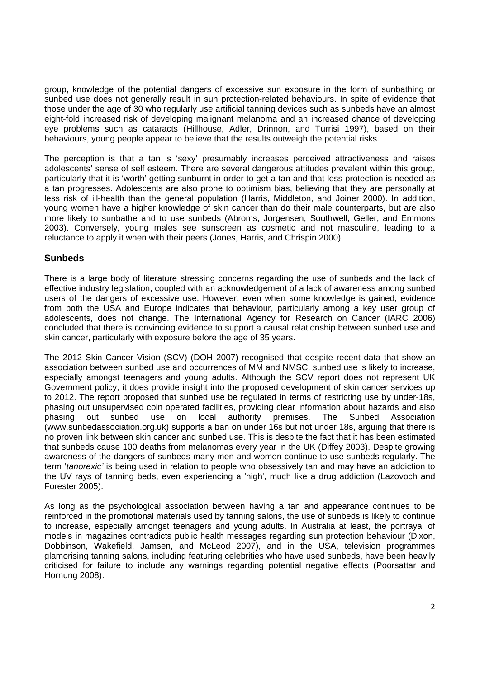group, knowledge of the potential dangers of excessive sun exposure in the form of sunbathing or sunbed use does not generally result in sun protection-related behaviours. In spite of evidence that those under the age of 30 who regularly use artificial tanning devices such as sunbeds have an almost eight-fold increased risk of developing malignant melanoma and an increased chance of developing eye problems such as cataracts (Hillhouse, Adler, Drinnon, and Turrisi 1997), based on their behaviours, young people appear to believe that the results outweigh the potential risks.

The perception is that a tan is 'sexy' presumably increases perceived attractiveness and raises adolescents' sense of self esteem. There are several dangerous attitudes prevalent within this group, particularly that it is 'worth' getting sunburnt in order to get a tan and that less protection is needed as a tan progresses. Adolescents are also prone to optimism bias, believing that they are personally at less risk of ill-health than the general population (Harris, Middleton, and Joiner 2000). In addition, young women have a higher knowledge of skin cancer than do their male counterparts, but are also more likely to sunbathe and to use sunbeds (Abroms, Jorgensen, Southwell, Geller, and Emmons 2003). Conversely, young males see sunscreen as cosmetic and not masculine, leading to a reluctance to apply it when with their peers (Jones, Harris, and Chrispin 2000).

## **Sunbeds**

There is a large body of literature stressing concerns regarding the use of sunbeds and the lack of effective industry legislation, coupled with an acknowledgement of a lack of awareness among sunbed users of the dangers of excessive use. However, even when some knowledge is gained, evidence from both the USA and Europe indicates that behaviour, particularly among a key user group of adolescents, does not change. The International Agency for Research on Cancer (IARC 2006) concluded that there is convincing evidence to support a causal relationship between sunbed use and skin cancer, particularly with exposure before the age of 35 years.

The 2012 Skin Cancer Vision (SCV) (DOH 2007) recognised that despite recent data that show an association between sunbed use and occurrences of MM and NMSC, sunbed use is likely to increase, especially amongst teenagers and young adults. Although the SCV report does not represent UK Government policy, it does provide insight into the proposed development of skin cancer services up to 2012. The report proposed that sunbed use be regulated in terms of restricting use by under-18s, phasing out unsupervised coin operated facilities, providing clear information about hazards and also phasing out sunbed use on local authority premises. The Sunbed Association (www.sunbedassociation.org.uk) supports a ban on under 16s but not under 18s, arguing that there is no proven link between skin cancer and sunbed use. This is despite the fact that it has been estimated that sunbeds cause 100 deaths from melanomas every year in the UK (Diffey 2003). Despite growing awareness of the dangers of sunbeds many men and women continue to use sunbeds regularly. The term '*tanorexic'* is being used in relation to people who obsessively tan and may have an addiction to the UV rays of tanning beds, even experiencing a 'high', much like a drug addiction (Lazovoch and Forester 2005).

As long as the psychological association between having a tan and appearance continues to be reinforced in the promotional materials used by tanning salons, the use of sunbeds is likely to continue to increase, especially amongst teenagers and young adults. In Australia at least, the portrayal of models in magazines contradicts public health messages regarding sun protection behaviour (Dixon, Dobbinson, Wakefield, Jamsen, and McLeod 2007), and in the USA, television programmes glamorising tanning salons, including featuring celebrities who have used sunbeds, have been heavily criticised for failure to include any warnings regarding potential negative effects (Poorsattar and Hornung 2008).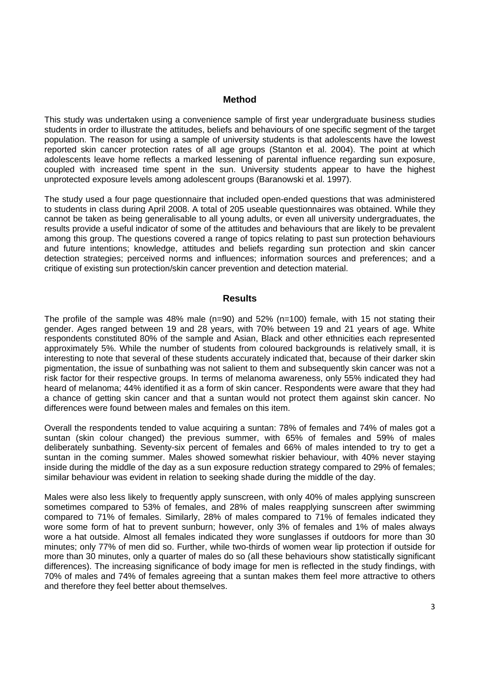#### **Method**

This study was undertaken using a convenience sample of first year undergraduate business studies students in order to illustrate the attitudes, beliefs and behaviours of one specific segment of the target population. The reason for using a sample of university students is that adolescents have the lowest reported skin cancer protection rates of all age groups (Stanton et al. 2004). The point at which adolescents leave home reflects a marked lessening of parental influence regarding sun exposure, coupled with increased time spent in the sun. University students appear to have the highest unprotected exposure levels among adolescent groups (Baranowski et al. 1997).

The study used a four page questionnaire that included open-ended questions that was administered to students in class during April 2008. A total of 205 useable questionnaires was obtained. While they cannot be taken as being generalisable to all young adults, or even all university undergraduates, the results provide a useful indicator of some of the attitudes and behaviours that are likely to be prevalent among this group. The questions covered a range of topics relating to past sun protection behaviours and future intentions; knowledge, attitudes and beliefs regarding sun protection and skin cancer detection strategies; perceived norms and influences; information sources and preferences; and a critique of existing sun protection/skin cancer prevention and detection material.

#### **Results**

The profile of the sample was 48% male  $(n=90)$  and 52%  $(n=100)$  female, with 15 not stating their gender. Ages ranged between 19 and 28 years, with 70% between 19 and 21 years of age. White respondents constituted 80% of the sample and Asian, Black and other ethnicities each represented approximately 5%. While the number of students from coloured backgrounds is relatively small, it is interesting to note that several of these students accurately indicated that, because of their darker skin pigmentation, the issue of sunbathing was not salient to them and subsequently skin cancer was not a risk factor for their respective groups. In terms of melanoma awareness, only 55% indicated they had heard of melanoma; 44% identified it as a form of skin cancer. Respondents were aware that they had a chance of getting skin cancer and that a suntan would not protect them against skin cancer. No differences were found between males and females on this item.

Overall the respondents tended to value acquiring a suntan: 78% of females and 74% of males got a suntan (skin colour changed) the previous summer, with 65% of females and 59% of males deliberately sunbathing. Seventy-six percent of females and 66% of males intended to try to get a suntan in the coming summer. Males showed somewhat riskier behaviour, with 40% never staying inside during the middle of the day as a sun exposure reduction strategy compared to 29% of females; similar behaviour was evident in relation to seeking shade during the middle of the day.

Males were also less likely to frequently apply sunscreen, with only 40% of males applying sunscreen sometimes compared to 53% of females, and 28% of males reapplying sunscreen after swimming compared to 71% of females. Similarly, 28% of males compared to 71% of females indicated they wore some form of hat to prevent sunburn; however, only 3% of females and 1% of males always wore a hat outside. Almost all females indicated they wore sunglasses if outdoors for more than 30 minutes; only 77% of men did so. Further, while two-thirds of women wear lip protection if outside for more than 30 minutes, only a quarter of males do so (all these behaviours show statistically significant differences). The increasing significance of body image for men is reflected in the study findings, with 70% of males and 74% of females agreeing that a suntan makes them feel more attractive to others and therefore they feel better about themselves.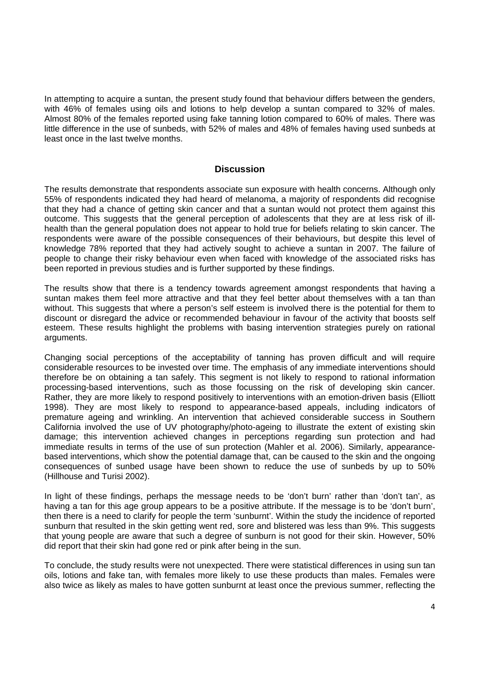In attempting to acquire a suntan, the present study found that behaviour differs between the genders, with 46% of females using oils and lotions to help develop a suntan compared to 32% of males. Almost 80% of the females reported using fake tanning lotion compared to 60% of males. There was little difference in the use of sunbeds, with 52% of males and 48% of females having used sunbeds at least once in the last twelve months.

#### **Discussion**

The results demonstrate that respondents associate sun exposure with health concerns. Although only 55% of respondents indicated they had heard of melanoma, a majority of respondents did recognise that they had a chance of getting skin cancer and that a suntan would not protect them against this outcome. This suggests that the general perception of adolescents that they are at less risk of illhealth than the general population does not appear to hold true for beliefs relating to skin cancer. The respondents were aware of the possible consequences of their behaviours, but despite this level of knowledge 78% reported that they had actively sought to achieve a suntan in 2007. The failure of people to change their risky behaviour even when faced with knowledge of the associated risks has been reported in previous studies and is further supported by these findings.

The results show that there is a tendency towards agreement amongst respondents that having a suntan makes them feel more attractive and that they feel better about themselves with a tan than without. This suggests that where a person's self esteem is involved there is the potential for them to discount or disregard the advice or recommended behaviour in favour of the activity that boosts self esteem. These results highlight the problems with basing intervention strategies purely on rational arguments.

Changing social perceptions of the acceptability of tanning has proven difficult and will require considerable resources to be invested over time. The emphasis of any immediate interventions should therefore be on obtaining a tan safely. This segment is not likely to respond to rational information processing-based interventions, such as those focussing on the risk of developing skin cancer. Rather, they are more likely to respond positively to interventions with an emotion-driven basis (Elliott 1998). They are most likely to respond to appearance-based appeals, including indicators of premature ageing and wrinkling. An intervention that achieved considerable success in Southern California involved the use of UV photography/photo-ageing to illustrate the extent of existing skin damage; this intervention achieved changes in perceptions regarding sun protection and had immediate results in terms of the use of sun protection (Mahler et al. 2006). Similarly, appearancebased interventions, which show the potential damage that, can be caused to the skin and the ongoing consequences of sunbed usage have been shown to reduce the use of sunbeds by up to 50% (Hillhouse and Turisi 2002).

In light of these findings, perhaps the message needs to be 'don't burn' rather than 'don't tan', as having a tan for this age group appears to be a positive attribute. If the message is to be 'don't burn', then there is a need to clarify for people the term 'sunburnt'. Within the study the incidence of reported sunburn that resulted in the skin getting went red, sore and blistered was less than 9%. This suggests that young people are aware that such a degree of sunburn is not good for their skin. However, 50% did report that their skin had gone red or pink after being in the sun.

To conclude, the study results were not unexpected. There were statistical differences in using sun tan oils, lotions and fake tan, with females more likely to use these products than males. Females were also twice as likely as males to have gotten sunburnt at least once the previous summer, reflecting the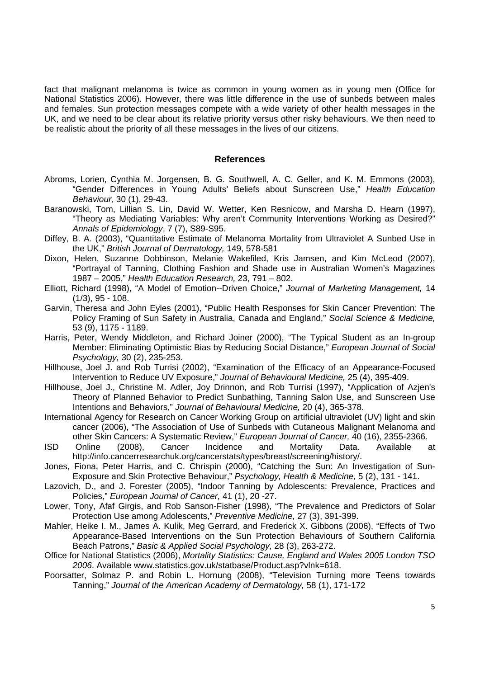fact that malignant melanoma is twice as common in young women as in young men (Office for National Statistics 2006). However, there was little difference in the use of sunbeds between males and females. Sun protection messages compete with a wide variety of other health messages in the UK, and we need to be clear about its relative priority versus other risky behaviours. We then need to be realistic about the priority of all these messages in the lives of our citizens.

#### **References**

- Abroms, Lorien, Cynthia M. Jorgensen, B. G. Southwell, A. C. Geller, and K. M. Emmons (2003), "Gender Differences in Young Adults' Beliefs about Sunscreen Use," *Health Education Behaviour,* 30 (1), 29-43.
- Baranowski, Tom, Lillian S. Lin, David W. Wetter, Ken Resnicow, and Marsha D. Hearn (1997), "Theory as Mediating Variables: Why aren't Community Interventions Working as Desired?" *Annals of Epidemiology*, 7 (7), S89-S95.
- Diffey, B. A. (2003), "Quantitative Estimate of Melanoma Mortality from Ultraviolet A Sunbed Use in the UK," *British Journal of Dermatology,* 149, 578-581
- Dixon, Helen, Suzanne Dobbinson, Melanie Wakefiled, Kris Jamsen, and Kim McLeod (2007), "Portrayal of Tanning, Clothing Fashion and Shade use in Australian Women's Magazines 1987 – 2005," *Health Education Research,* 23, 791 – 802.
- Elliott, Richard (1998), "A Model of Emotion--Driven Choice," *Journal of Marketing Management,* 14  $(1/3)$ , 95 - 108.
- Garvin, Theresa and John Eyles (2001), "Public Health Responses for Skin Cancer Prevention: The Policy Framing of Sun Safety in Australia, Canada and England," *Social Science & Medicine,*  53 (9), 1175 - 1189.
- Harris, Peter, Wendy Middleton, and Richard Joiner (2000), "The Typical Student as an In-group Member: Eliminating Optimistic Bias by Reducing Social Distance," *European Journal of Social Psychology,* 30 (2), 235-253.
- Hillhouse, Joel J. and Rob Turrisi (2002), "Examination of the Efficacy of an Appearance-Focused Intervention to Reduce UV Exposure," *Journal of Behavioural Medicine,* 25 (4), 395-409.
- Hillhouse, Joel J., Christine M. Adler, Joy Drinnon, and Rob Turrisi (1997), "Application of Azjen's Theory of Planned Behavior to Predict Sunbathing, Tanning Salon Use, and Sunscreen Use Intentions and Behaviors," *Journal of Behavioural Medicine,* 20 (4), 365-378.
- International Agency for Research on Cancer Working Group on artificial ultraviolet (UV) light and skin cancer (2006), "The Association of Use of Sunbeds with Cutaneous Malignant Melanoma and other Skin Cancers: A Systematic Review," *European Journal of Cancer,* 40 (16), 2355-2366.
- ISD Online (2008), Cancer Incidence and Mortality Data. Available at http://info.cancerresearchuk.org/cancerstats/types/breast/screening/history/.
- Jones, Fiona, Peter Harris, and C. Chrispin (2000), "Catching the Sun: An Investigation of Sun-Exposure and Skin Protective Behaviour," *Psychology, Health & Medicine,* 5 (2), 131 - 141.
- Lazovich, D., and J. Forester (2005), "Indoor Tanning by Adolescents: Prevalence, Practices and Policies," *European Journal of Cancer,* 41 (1), 20 -27.
- Lower, Tony, Afaf Girgis, and Rob Sanson-Fisher (1998), "The Prevalence and Predictors of Solar Protection Use among Adolescents," *Preventive Medicine,* 27 (3), 391-399.
- Mahler, Heike I. M., James A. Kulik, Meg Gerrard, and Frederick X. Gibbons (2006), "Effects of Two Appearance-Based Interventions on the Sun Protection Behaviours of Southern California Beach Patrons," *Basic & Applied Social Psychology,* 28 (3), 263-272.
- Office for National Statistics (2006), *Mortality Statistics: Cause, England and Wales 2005 London TSO 2006*. Available www.statistics.gov.uk/statbase/Product.asp?vlnk=618.
- Poorsatter, Solmaz P. and Robin L. Hornung (2008), "Television Turning more Teens towards Tanning," *Journal of the American Academy of Dermatology,* 58 (1), 171-172